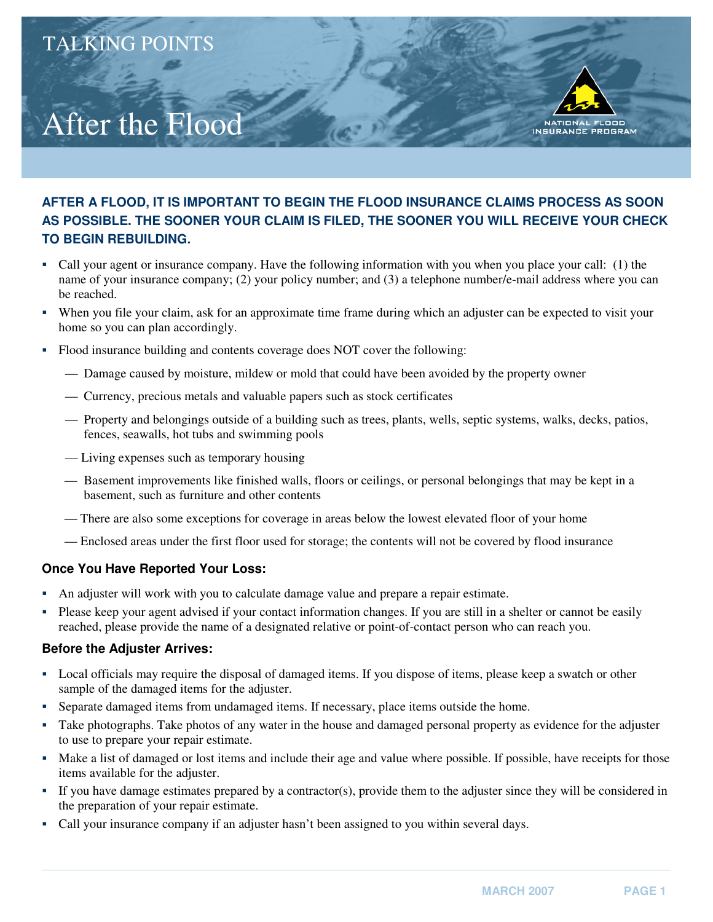# After the Flood

### **AFTER A FLOOD, IT IS IMPORTANT TO BEGIN THE FLOOD INSURANCE CLAIMS PROCESS AS SOON AS POSSIBLE. THE SOONER YOUR CLAIM IS FILED, THE SOONER YOU WILL RECEIVE YOUR CHECK TO BEGIN REBUILDING.**

- � Call your agent or insurance company. Have the following information with you when you place your call: (1) the name of your insurance company; (2) your policy number; and (3) a telephone number/e-mail address where you can be reached.
- � When you file your claim, ask for an approximate time frame during which an adjuster can be expected to visit your home so you can plan accordingly.
- � Flood insurance building and contents coverage does NOT cover the following:
	- Damage caused by moisture, mildew or mold that could have been avoided by the property owner
	- Currency, precious metals and valuable papers such as stock certificates
	- Property and belongings outside of a building such as trees, plants, wells, septic systems, walks, decks, patios, fences, seawalls, hot tubs and swimming pools
	- Living expenses such as temporary housing
	- Basement improvements like finished walls, floors or ceilings, or personal belongings that may be kept in a basement, such as furniture and other contents
	- There are also some exceptions for coverage in areas below the lowest elevated floor of your home
	- Enclosed areas under the first floor used for storage; the contents will not be covered by flood insurance

#### **Once You Have Reported Your Loss:**

- � An adjuster will work with you to calculate damage value and prepare a repair estimate.
- � Please keep your agent advised if your contact information changes. If you are still in a shelter or cannot be easily reached, please provide the name of a designated relative or point-of-contact person who can reach you.

#### **Before the Adjuster Arrives:**

- � Local officials may require the disposal of damaged items. If you dispose of items, please keep a swatch or other sample of the damaged items for the adjuster.
- � Separate damaged items from undamaged items. If necessary, place items outside the home.
- � Take photographs. Take photos of any water in the house and damaged personal property as evidence for the adjuster to use to prepare your repair estimate.
- Make a list of damaged or lost items and include their age and value where possible. If possible, have receipts for those items available for the adjuster.
- � If you have damage estimates prepared by a contractor(s), provide them to the adjuster since they will be considered in the preparation of your repair estimate.
- � Call your insurance company if an adjuster hasn't been assigned to you within several days.

FLOOD

**NATIONAL** INSURANCE PROGRAM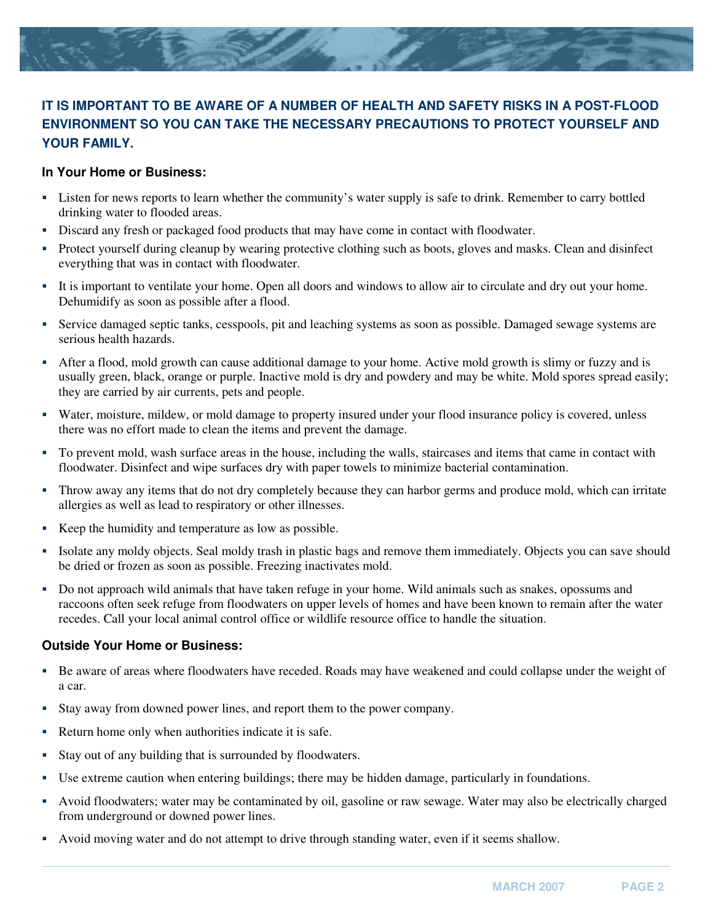

## **IT IS IMPORTANT TO BE AWARE OF A NUMBER OF HEALTH AND SAFETY RISKS IN A POST-FLOOD ENVIRONMENT SO YOU CAN TAKE THE NECESSARY PRECAUTIONS TO PROTECT YOURSELF AND YOUR FAMILY.**

#### **In Your Home or Business:**

- � Listen for news reports to learn whether the community's water supply is safe to drink. Remember to carry bottled drinking water to flooded areas.
- � Discard any fresh or packaged food products that may have come in contact with floodwater.
- � Protect yourself during cleanup by wearing protective clothing such as boots, gloves and masks. Clean and disinfect everything that was in contact with floodwater.
- � It is important to ventilate your home. Open all doors and windows to allow air to circulate and dry out your home. Dehumidify as soon as possible after a flood.
- � Service damaged septic tanks, cesspools, pit and leaching systems as soon as possible. Damaged sewage systems are serious health hazards.
- � After a flood, mold growth can cause additional damage to your home. Active mold growth is slimy or fuzzy and is usually green, black, orange or purple. Inactive mold is dry and powdery and may be white. Mold spores spread easily; they are carried by air currents, pets and people.
- � Water, moisture, mildew, or mold damage to property insured under your flood insurance policy is covered, unless there was no effort made to clean the items and prevent the damage.
- � To prevent mold, wash surface areas in the house, including the walls, staircases and items that came in contact with floodwater. Disinfect and wipe surfaces dry with paper towels to minimize bacterial contamination.
- � Throw away any items that do not dry completely because they can harbor germs and produce mold, which can irritate allergies as well as lead to respiratory or other illnesses.
- Keep the humidity and temperature as low as possible.
- � Isolate any moldy objects. Seal moldy trash in plastic bags and remove them immediately. Objects you can save should be dried or frozen as soon as possible. Freezing inactivates mold.
- � Do not approach wild animals that have taken refuge in your home. Wild animals such as snakes, opossums and raccoons often seek refuge from floodwaters on upper levels of homes and have been known to remain after the water recedes. Call your local animal control office or wildlife resource office to handle the situation.

#### **Outside Your Home or Business:**

- � Be aware of areas where floodwaters have receded. Roads may have weakened and could collapse under the weight of a car.
- � Stay away from downed power lines, and report them to the power company.
- Return home only when authorities indicate it is safe.
- Stay out of any building that is surrounded by floodwaters.
- Use extreme caution when entering buildings; there may be hidden damage, particularly in foundations.
- � Avoid floodwaters; water may be contaminated by oil, gasoline or raw sewage. Water may also be electrically charged from underground or downed power lines.
- � Avoid moving water and do not attempt to drive through standing water, even if it seems shallow.